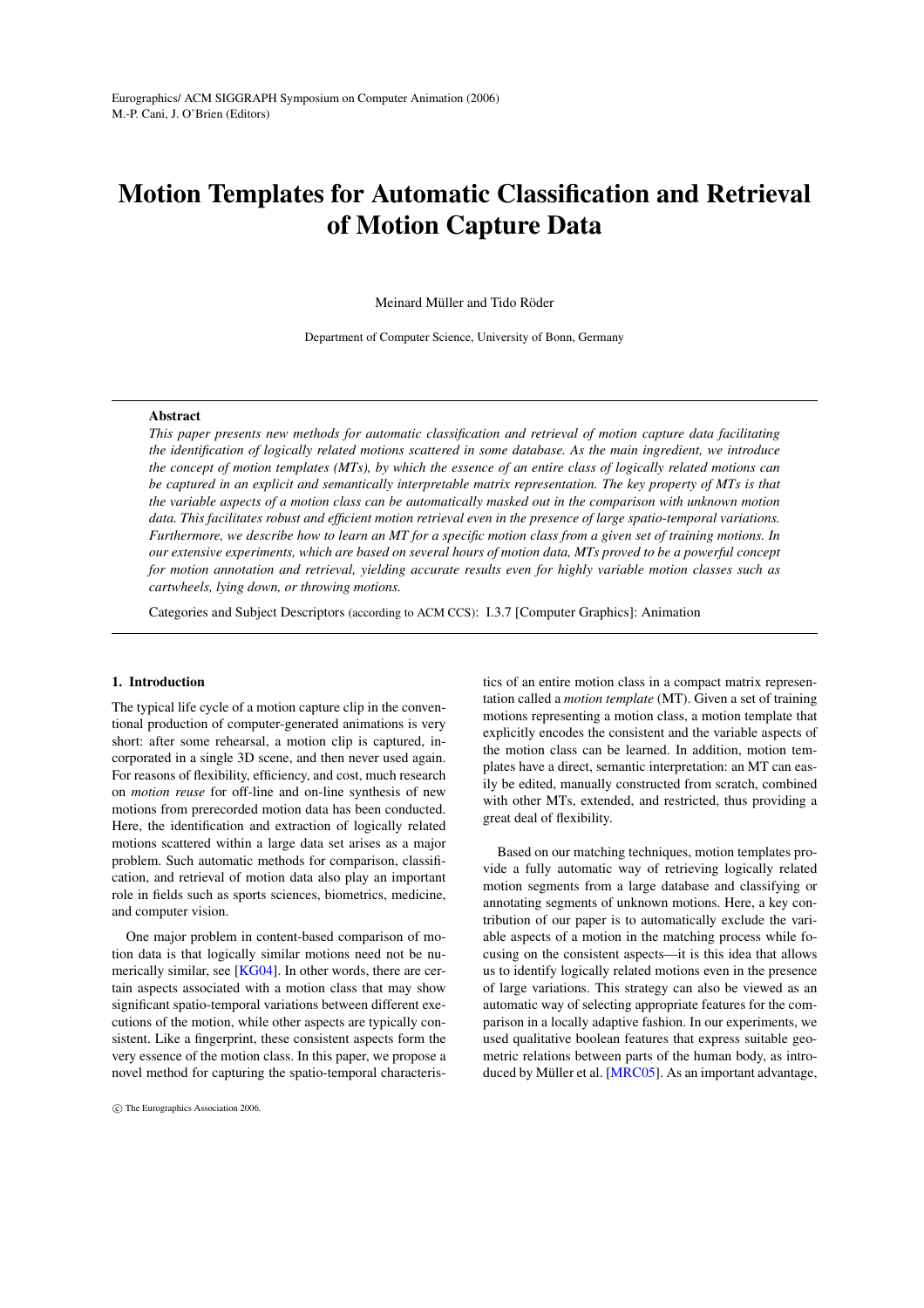# **Motion Templates for Automatic Classification and Retrieval of Motion Capture Data**

Meinard Müller and Tido Röder

Department of Computer Science, University of Bonn, Germany

#### **Abstract**

*This paper presents new methods for automatic classification and retrieval of motion capture data facilitating the identification of logically related motions scattered in some database. As the main ingredient, we introduce the concept of motion templates (MTs), by which the essence of an entire class of logically related motions can be captured in an explicit and semantically interpretable matrix representation. The key property of MTs is that the variable aspects of a motion class can be automatically masked out in the comparison with unknown motion data. This facilitates robust and efficient motion retrieval even in the presence of large spatio-temporal variations. Furthermore, we describe how to learn an MT for a specific motion class from a given set of training motions. In our extensive experiments, which are based on several hours of motion data, MTs proved to be a powerful concept for motion annotation and retrieval, yielding accurate results even for highly variable motion classes such as cartwheels, lying down, or throwing motions.*

Categories and Subject Descriptors (according to ACM CCS): I.3.7 [Computer Graphics]: Animation

# **1. Introduction**

The typical life cycle of a motion capture clip in the conventional production of computer-generated animations is very short: after some rehearsal, a motion clip is captured, incorporated in a single 3D scene, and then never used again. For reasons of flexibility, efficiency, and cost, much research on *motion reuse* for off-line and on-line synthesis of new motions from prerecorded motion data has been conducted. Here, the identification and extraction of logically related motions scattered within a large data set arises as a major problem. Such automatic methods for comparison, classification, and retrieval of motion data also play an important role in fields such as sports sciences, biometrics, medicine, and computer vision.

One major problem in content-based comparison of motion data is that logically similar motions need not be nu-merically similar, see [\[KG04\]](#page-9-0). In other words, there are certain aspects associated with a motion class that may show significant spatio-temporal variations between different executions of the motion, while other aspects are typically consistent. Like a fingerprint, these consistent aspects form the very essence of the motion class. In this paper, we propose a novel method for capturing the spatio-temporal characteristics of an entire motion class in a compact matrix representation called a *motion template* (MT). Given a set of training motions representing a motion class, a motion template that explicitly encodes the consistent and the variable aspects of the motion class can be learned. In addition, motion templates have a direct, semantic interpretation: an MT can easily be edited, manually constructed from scratch, combined with other MTs, extended, and restricted, thus providing a great deal of flexibility.

Based on our matching techniques, motion templates provide a fully automatic way of retrieving logically related motion segments from a large database and classifying or annotating segments of unknown motions. Here, a key contribution of our paper is to automatically exclude the variable aspects of a motion in the matching process while focusing on the consistent aspects—it is this idea that allows us to identify logically related motions even in the presence of large variations. This strategy can also be viewed as an automatic way of selecting appropriate features for the comparison in a locally adaptive fashion. In our experiments, we used qualitative boolean features that express suitable geometric relations between parts of the human body, as introduced by Müller et al. [\[MRC05\]](#page-9-1). As an important advantage,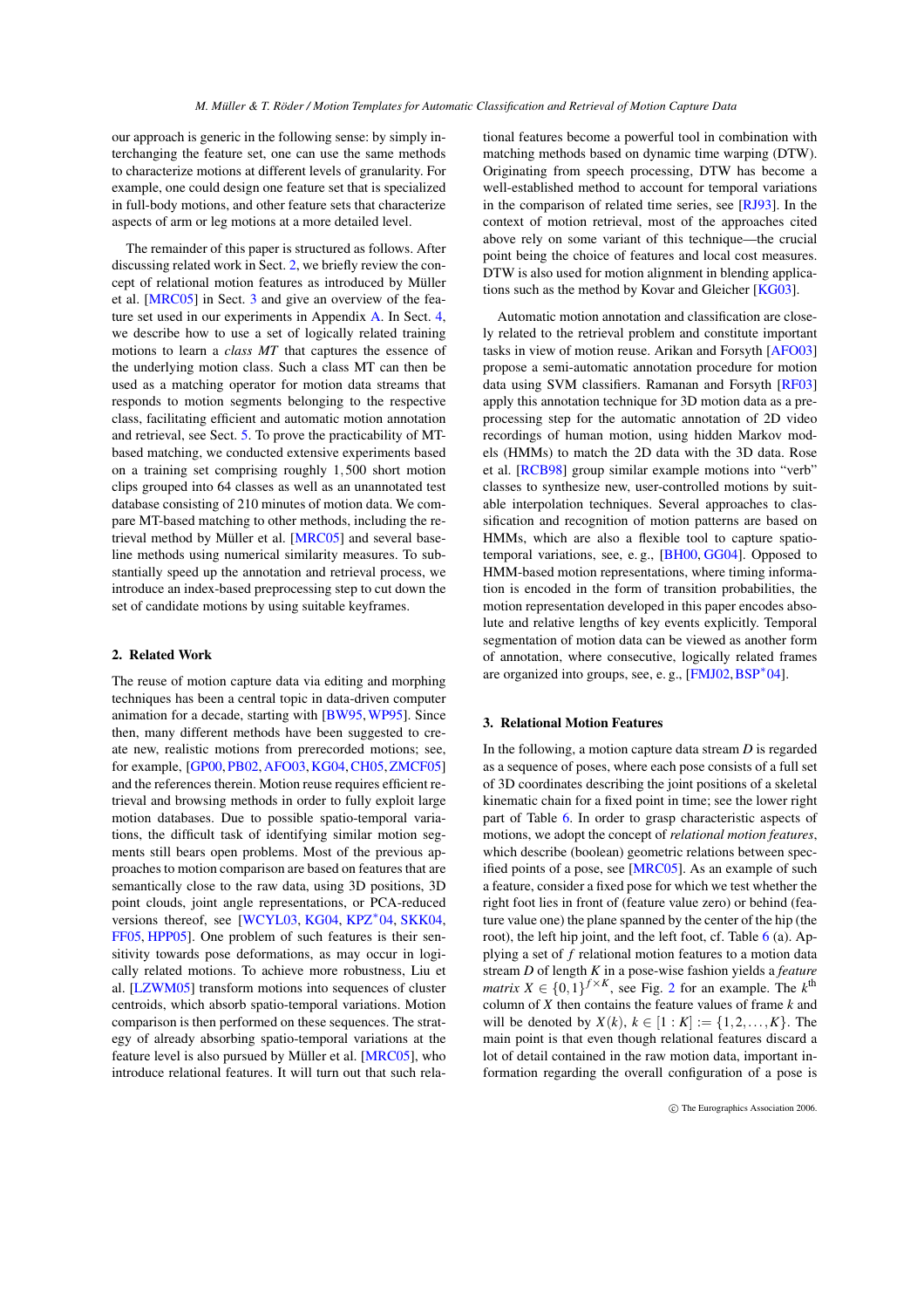our approach is generic in the following sense: by simply interchanging the feature set, one can use the same methods to characterize motions at different levels of granularity. For example, one could design one feature set that is specialized in full-body motions, and other feature sets that characterize aspects of arm or leg motions at a more detailed level.

The remainder of this paper is structured as follows. After discussing related work in Sect. [2,](#page-1-0) we briefly review the concept of relational motion features as introduced by Müller et al. [\[MRC05\]](#page-9-1) in Sect. [3](#page-1-1) and give an overview of the feature set used in our experiments in Appendix [A.](#page-8-0) In Sect. [4,](#page-2-0) we describe how to use a set of logically related training motions to learn a *class MT* that captures the essence of the underlying motion class. Such a class MT can then be used as a matching operator for motion data streams that responds to motion segments belonging to the respective class, facilitating efficient and automatic motion annotation and retrieval, see Sect. [5.](#page-4-0) To prove the practicability of MTbased matching, we conducted extensive experiments based on a training set comprising roughly 1,500 short motion clips grouped into 64 classes as well as an unannotated test database consisting of 210 minutes of motion data. We compare MT-based matching to other methods, including the retrieval method by Müller et al. [\[MRC05\]](#page-9-1) and several baseline methods using numerical similarity measures. To substantially speed up the annotation and retrieval process, we introduce an index-based preprocessing step to cut down the set of candidate motions by using suitable keyframes.

# <span id="page-1-0"></span>**2. Related Work**

The reuse of motion capture data via editing and morphing techniques has been a central topic in data-driven computer animation for a decade, starting with [\[BW95,](#page-8-1)[WP95\]](#page-9-2). Since then, many different methods have been suggested to create new, realistic motions from prerecorded motions; see, for example, [\[GP00,](#page-9-3) [PB02,](#page-9-4)[AFO03,](#page-8-2)[KG04,](#page-9-0)[CH05,](#page-8-3)[ZMCF05\]](#page-9-5) and the references therein. Motion reuse requires efficient retrieval and browsing methods in order to fully exploit large motion databases. Due to possible spatio-temporal variations, the difficult task of identifying similar motion segments still bears open problems. Most of the previous approaches to motion comparison are based on features that are semantically close to the raw data, using 3D positions, 3D point clouds, joint angle representations, or PCA-reduced versions thereof, see [\[WCYL03,](#page-9-6) [KG04,](#page-9-0) [KPZ](#page-9-7)<sup>∗</sup> 04, [SKK04,](#page-9-8) [FF05,](#page-8-4) [HPP05\]](#page-9-9). One problem of such features is their sensitivity towards pose deformations, as may occur in logically related motions. To achieve more robustness, Liu et al. [\[LZWM05\]](#page-9-10) transform motions into sequences of cluster centroids, which absorb spatio-temporal variations. Motion comparison is then performed on these sequences. The strategy of already absorbing spatio-temporal variations at the feature level is also pursued by Müller et al. [\[MRC05\]](#page-9-1), who introduce relational features. It will turn out that such relational features become a powerful tool in combination with matching methods based on dynamic time warping (DTW). Originating from speech processing, DTW has become a well-established method to account for temporal variations in the comparison of related time series, see [\[RJ93\]](#page-9-11). In the context of motion retrieval, most of the approaches cited above rely on some variant of this technique—the crucial point being the choice of features and local cost measures. DTW is also used for motion alignment in blending applications such as the method by Kovar and Gleicher  $[KG03]$ .

Automatic motion annotation and classification are closely related to the retrieval problem and constitute important tasks in view of motion reuse. Arikan and Forsyth [\[AFO03\]](#page-8-2) propose a semi-automatic annotation procedure for motion data using SVM classifiers. Ramanan and Forsyth [\[RF03\]](#page-9-13) apply this annotation technique for 3D motion data as a preprocessing step for the automatic annotation of 2D video recordings of human motion, using hidden Markov models (HMMs) to match the 2D data with the 3D data. Rose et al. [\[RCB98\]](#page-9-14) group similar example motions into "verb" classes to synthesize new, user-controlled motions by suitable interpolation techniques. Several approaches to classification and recognition of motion patterns are based on HMMs, which are also a flexible tool to capture spatiotemporal variations, see, e. g., [\[BH00,](#page-8-5) [GG04\]](#page-9-15). Opposed to HMM-based motion representations, where timing information is encoded in the form of transition probabilities, the motion representation developed in this paper encodes absolute and relative lengths of key events explicitly. Temporal segmentation of motion data can be viewed as another form of annotation, where consecutive, logically related frames are organized into groups, see, e. g., [\[FMJ02,](#page-8-6) [BSP](#page-8-7)<sup>\*</sup>04].

## <span id="page-1-1"></span>**3. Relational Motion Features**

In the following, a motion capture data stream *D* is regarded as a sequence of poses, where each pose consists of a full set of 3D coordinates describing the joint positions of a skeletal kinematic chain for a fixed point in time; see the lower right part of Table [6.](#page-9-16) In order to grasp characteristic aspects of motions, we adopt the concept of *relational motion features*, which describe (boolean) geometric relations between specified points of a pose, see [\[MRC05\]](#page-9-1). As an example of such a feature, consider a fixed pose for which we test whether the right foot lies in front of (feature value zero) or behind (feature value one) the plane spanned by the center of the hip (the root), the left hip joint, and the left foot, cf. Table [6](#page-9-16) (a). Applying a set of *f* relational motion features to a motion data stream *D* of length *K* in a pose-wise fashion yields a *feature matrix*  $X \in \{0, 1\}^{f \times K}$ , see Fig. [2](#page-2-1) for an example. The  $k^{\text{th}}$ column of *X* then contains the feature values of frame *k* and will be denoted by *X*(*k*), *k* ∈ [1 : *K*] := {1,2,...,*K*}. The main point is that even though relational features discard a lot of detail contained in the raw motion data, important information regarding the overall configuration of a pose is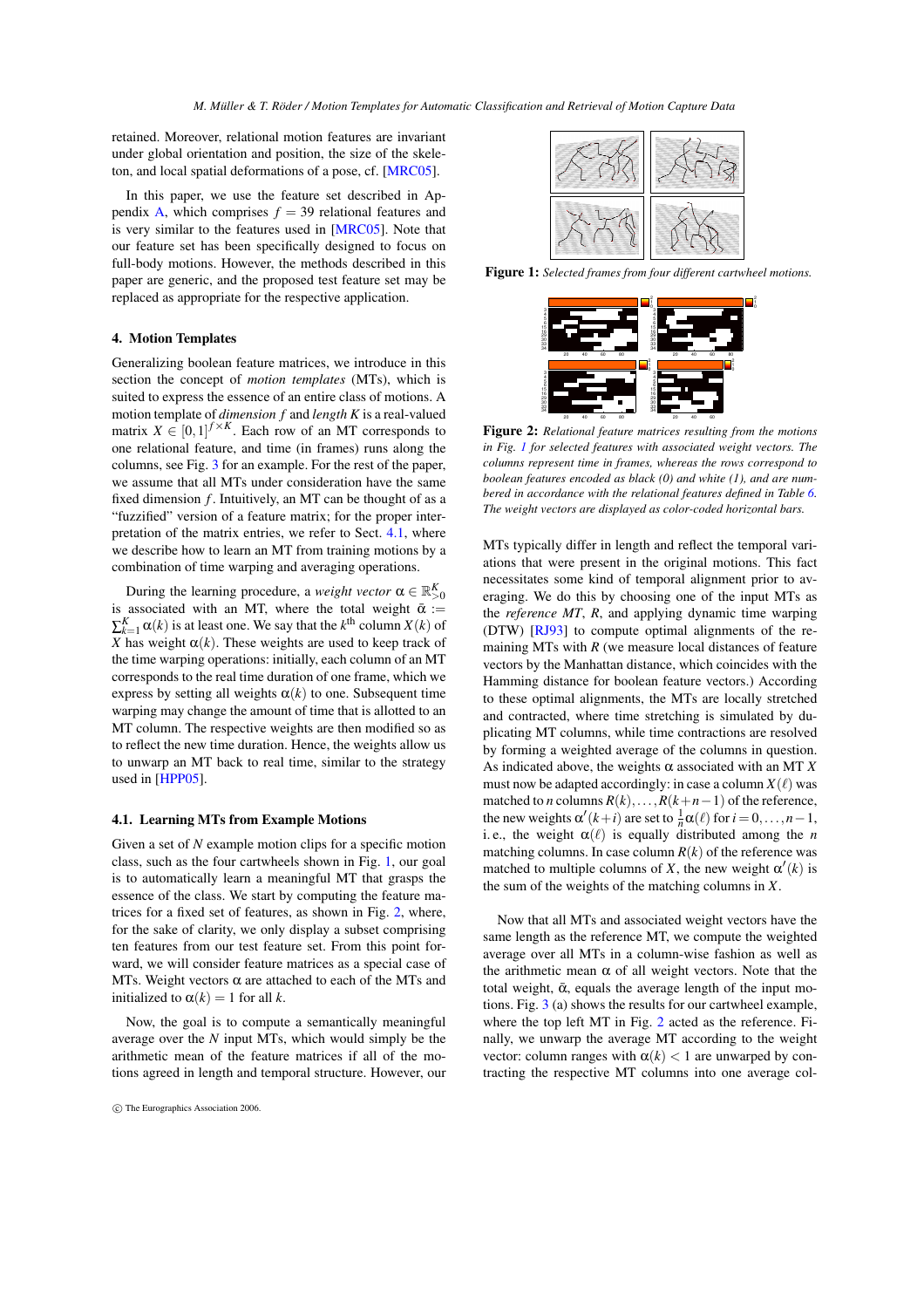retained. Moreover, relational motion features are invariant under global orientation and position, the size of the skeleton, and local spatial deformations of a pose, cf. [\[MRC05\]](#page-9-1).

In this paper, we use the feature set described in Ap-pendix [A,](#page-8-0) which comprises  $f = 39$  relational features and is very similar to the features used in [\[MRC05\]](#page-9-1). Note that our feature set has been specifically designed to focus on full-body motions. However, the methods described in this paper are generic, and the proposed test feature set may be replaced as appropriate for the respective application.

## <span id="page-2-0"></span>**4. Motion Templates**

Generalizing boolean feature matrices, we introduce in this section the concept of *motion templates* (MTs), which is suited to express the essence of an entire class of motions. A motion template of *dimension f* and *length K* is a real-valued matrix  $X \in [0,1]^{f \times K}$ . Each row of an MT corresponds to one relational feature, and time (in frames) runs along the columns, see Fig. [3](#page-3-0) for an example. For the rest of the paper, we assume that all MTs under consideration have the same fixed dimension  $f$ . Intuitively, an MT can be thought of as a "fuzzified" version of a feature matrix; for the proper interpretation of the matrix entries, we refer to Sect. [4.1,](#page-2-2) where we describe how to learn an MT from training motions by a combination of time warping and averaging operations.

During the learning procedure, a *weight vector*  $\alpha \in \mathbb{R}^K_{>0}$ is associated with an MT, where the total weight  $\bar{\alpha}$  :=  $\sum_{k=1}^{K} \alpha(k)$  is at least one. We say that the  $k^{\text{th}}$  column  $X(k)$  of *X* has weight  $\alpha(k)$ . These weights are used to keep track of the time warping operations: initially, each column of an MT corresponds to the real time duration of one frame, which we express by setting all weights  $\alpha(k)$  to one. Subsequent time warping may change the amount of time that is allotted to an MT column. The respective weights are then modified so as to reflect the new time duration. Hence, the weights allow us to unwarp an MT back to real time, similar to the strategy used in [\[HPP05\]](#page-9-9).

#### <span id="page-2-2"></span>**4.1. Learning MTs from Example Motions**

Given a set of *N* example motion clips for a specific motion class, such as the four cartwheels shown in Fig. [1,](#page-2-3) our goal is to automatically learn a meaningful MT that grasps the essence of the class. We start by computing the feature matrices for a fixed set of features, as shown in Fig. [2,](#page-2-1) where, for the sake of clarity, we only display a subset comprising ten features from our test feature set. From this point forward, we will consider feature matrices as a special case of MTs. Weight vectors  $\alpha$  are attached to each of the MTs and initialized to  $\alpha(k) = 1$  for all *k*.

Now, the goal is to compute a semantically meaningful average over the *N* input MTs, which would simply be the arithmetic mean of the feature matrices if all of the motions agreed in length and temporal structure. However, our



<span id="page-2-3"></span>**Figure 1:** *Selected frames from four different cartwheel motions.*



<span id="page-2-1"></span>**Figure 2:** *Relational feature matrices resulting from the motions in Fig. [1](#page-2-3) for selected features with associated weight vectors. The columns represent time in frames, whereas the rows correspond to boolean features encoded as black (0) and white (1), and are numbered in accordance with the relational features defined in Table [6.](#page-9-16) The weight vectors are displayed as color-coded horizontal bars.*

MTs typically differ in length and reflect the temporal variations that were present in the original motions. This fact necessitates some kind of temporal alignment prior to averaging. We do this by choosing one of the input MTs as the *reference MT*, *R*, and applying dynamic time warping (DTW) [\[RJ93\]](#page-9-11) to compute optimal alignments of the remaining MTs with  $R$  (we measure local distances of feature vectors by the Manhattan distance, which coincides with the Hamming distance for boolean feature vectors.) According to these optimal alignments, the MTs are locally stretched and contracted, where time stretching is simulated by duplicating MT columns, while time contractions are resolved by forming a weighted average of the columns in question. As indicated above, the weights  $\alpha$  associated with an MT  $\chi$ must now be adapted accordingly: in case a column  $X(\ell)$  was matched to *n* columns  $R(k),..., R(k+n-1)$  of the reference, the new weights  $\alpha'(k+i)$  are set to  $\frac{1}{n}\alpha(\ell)$  for  $i = 0, ..., n-1$ , i. e., the weight  $\alpha(\ell)$  is equally distributed among the *n* matching columns. In case column  $R(k)$  of the reference was matched to multiple columns of *X*, the new weight  $\alpha'(k)$  is the sum of the weights of the matching columns in *X*.

Now that all MTs and associated weight vectors have the same length as the reference MT, we compute the weighted average over all MTs in a column-wise fashion as well as the arithmetic mean  $\alpha$  of all weight vectors. Note that the total weight,  $\bar{\alpha}$ , equals the average length of the input motions. Fig. [3](#page-3-0) (a) shows the results for our cartwheel example, where the top left MT in Fig. [2](#page-2-1) acted as the reference. Finally, we unwarp the average MT according to the weight vector: column ranges with  $\alpha(k) < 1$  are unwarped by contracting the respective MT columns into one average col-

c The Eurographics Association 2006.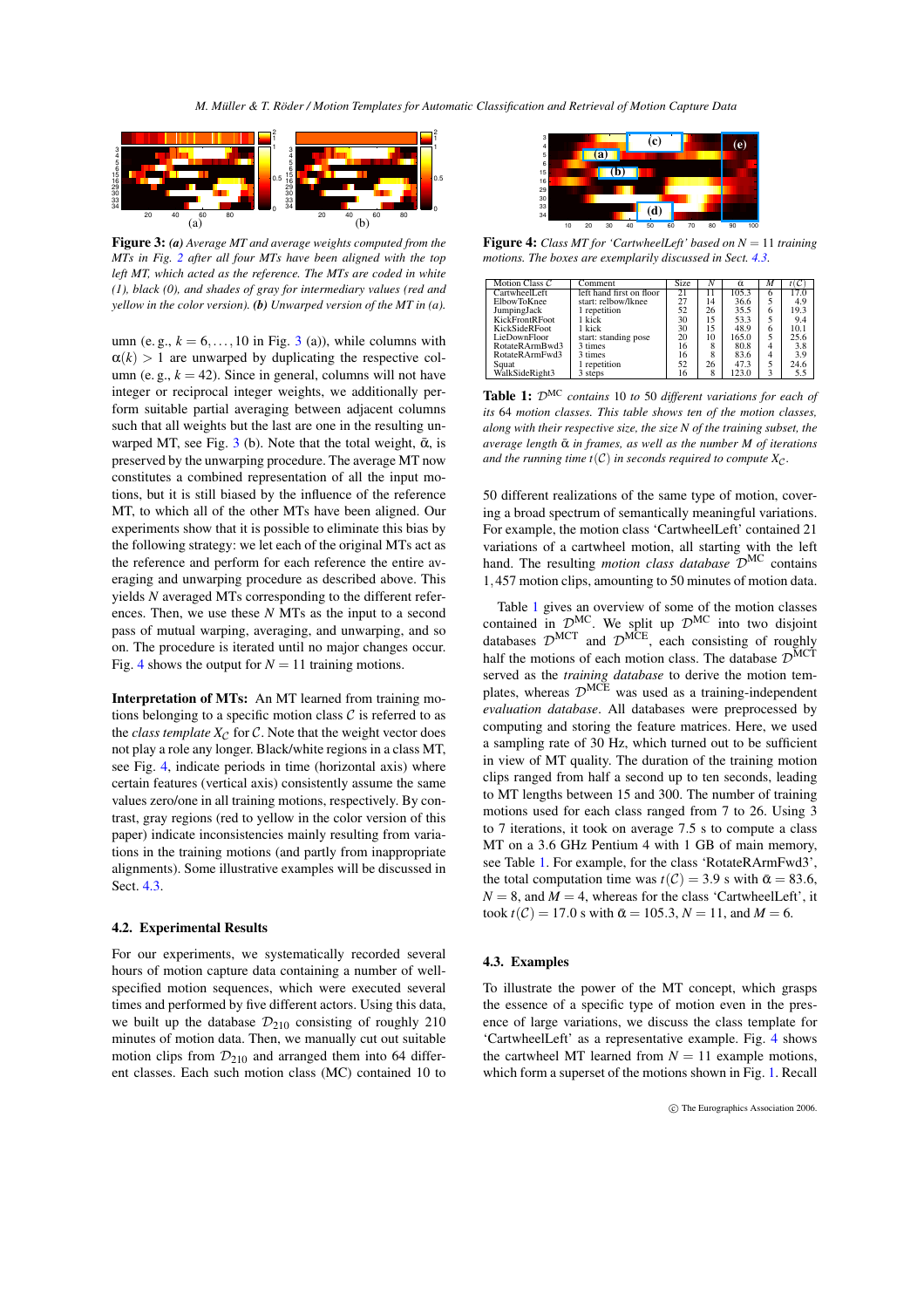*M. Müller & T. Röder / Motion Templates for Automatic Classification and Retrieval of Motion Capture Data*



<span id="page-3-0"></span>**Figure 3:** *(a) Average MT and average weights computed from the MTs in Fig. [2](#page-2-1) after all four MTs have been aligned with the top left MT, which acted as the reference. The MTs are coded in white (1), black (0), and shades of gray for intermediary values (red and yellow in the color version). (b) Unwarped version of the MT in (a).*

umn (e.g.,  $k = 6, \ldots, 10$  in Fig. [3](#page-3-0) (a)), while columns with  $\alpha(k) > 1$  are unwarped by duplicating the respective column (e. g.,  $k = 42$ ). Since in general, columns will not have integer or reciprocal integer weights, we additionally perform suitable partial averaging between adjacent columns such that all weights but the last are one in the resulting un-warped MT, see Fig. [3](#page-3-0) (b). Note that the total weight,  $\bar{\alpha}$ , is preserved by the unwarping procedure. The average MT now constitutes a combined representation of all the input motions, but it is still biased by the influence of the reference MT, to which all of the other MTs have been aligned. Our experiments show that it is possible to eliminate this bias by the following strategy: we let each of the original MTs act as the reference and perform for each reference the entire averaging and unwarping procedure as described above. This yields *N* averaged MTs corresponding to the different references. Then, we use these *N* MTs as the input to a second pass of mutual warping, averaging, and unwarping, and so on. The procedure is iterated until no major changes occur. Fig. [4](#page-3-1) shows the output for  $N = 11$  training motions.

**Interpretation of MTs:** An MT learned from training motions belonging to a specific motion class  $\mathcal C$  is referred to as the *class template*  $X_C$  for C. Note that the weight vector does not play a role any longer. Black/white regions in a class MT, see Fig. [4,](#page-3-1) indicate periods in time (horizontal axis) where certain features (vertical axis) consistently assume the same values zero/one in all training motions, respectively. By contrast, gray regions (red to yellow in the color version of this paper) indicate inconsistencies mainly resulting from variations in the training motions (and partly from inappropriate alignments). Some illustrative examples will be discussed in Sect. [4.3.](#page-3-2)

## <span id="page-3-4"></span>**4.2. Experimental Results**

For our experiments, we systematically recorded several hours of motion capture data containing a number of wellspecified motion sequences, which were executed several times and performed by five different actors. Using this data, we built up the database  $\mathcal{D}_{210}$  consisting of roughly 210 minutes of motion data. Then, we manually cut out suitable motion clips from  $\mathcal{D}_{210}$  and arranged them into 64 different classes. Each such motion class (MC) contained 10 to



<span id="page-3-1"></span>**Figure 4:** *Class MT for 'CartwheelLeft' based on N* = 11 *training motions. The boxes are exemplarily discussed in Sect. [4.3.](#page-3-2)*

| Motion Class $C$     | Comment                  | Size | N  | ā     | м |      |
|----------------------|--------------------------|------|----|-------|---|------|
| CartwheelLeft        | left hand first on floor |      |    | 105.3 |   |      |
| <b>ElbowToKnee</b>   | start: relbow/lknee      | 27   | 14 | 36.6  |   | 4.9  |
| JumpingJack          | 1 repetition             | 52   | 26 | 35.5  | 6 | 19.3 |
| KickFrontRFoot       | 1 kick                   | 30   | 15 | 53.3  |   | 9.4  |
| <b>KickSideRFoot</b> | 1 kick                   | 30   | 15 | 48.9  | 6 | 10.1 |
| LieDownFloor         | start: standing pose     | 20   | 10 | 165.0 |   | 25.6 |
| RotateRArmBwd3       | 3 times                  | 16   |    | 80.8  |   | 3.8  |
| RotateRArmFwd3       | 3 times                  | 16   | 8  | 83.6  |   | 3.9  |
| Squat                | 1 repetition             | 52   | 26 | 47.3  |   | 24.6 |
| WalkSideRight3       | 3 steps                  | 16   | 8  | 123.0 |   | 5.5  |

<span id="page-3-3"></span>**Table 1:** DMC *contains* 10 *to* 50 *different variations for each of its* 64 *motion classes. This table shows ten of the motion classes, along with their respective size, the size N of the training subset, the average length*  $\bar{\alpha}$  *in frames, as well as the number M of iterations and the running time t(C) in seconds required to compute*  $X_C$ *.* 

50 different realizations of the same type of motion, covering a broad spectrum of semantically meaningful variations. For example, the motion class 'CartwheelLeft' contained 21 variations of a cartwheel motion, all starting with the left hand. The resulting *motion class database* D MC contains 1,457 motion clips, amounting to 50 minutes of motion data.

Table [1](#page-3-3) gives an overview of some of the motion classes contained in  $\mathcal{D}^{MC}$ . We split up  $\mathcal{D}^{MC}$  into two disjoint databases  $\mathcal{D}^{MCT}$  and  $\mathcal{D}^{MCE}$ , each consisting of roughly half the motions of each motion class. The database  $\mathcal{D}^{\text{MCT}}$ served as the *training database* to derive the motion templates, whereas  $\mathcal{D}^{\text{MCE}}$  was used as a training-independent *evaluation database*. All databases were preprocessed by computing and storing the feature matrices. Here, we used a sampling rate of 30 Hz, which turned out to be sufficient in view of MT quality. The duration of the training motion clips ranged from half a second up to ten seconds, leading to MT lengths between 15 and 300. The number of training motions used for each class ranged from 7 to 26. Using 3 to 7 iterations, it took on average 7.5 s to compute a class MT on a 3.6 GHz Pentium 4 with 1 GB of main memory, see Table [1.](#page-3-3) For example, for the class 'RotateRArmFwd3', the total computation time was  $t(C) = 3.9$  s with  $\bar{\alpha} = 83.6$ ,  $N = 8$ , and  $M = 4$ , whereas for the class 'CartwheelLeft', it  $\text{took } t(\mathcal{C}) = 17.0 \text{ s with } \bar{\alpha} = 105.3, N = 11, \text{ and } M = 6.$ 

## <span id="page-3-2"></span>**4.3. Examples**

To illustrate the power of the MT concept, which grasps the essence of a specific type of motion even in the presence of large variations, we discuss the class template for 'CartwheelLeft' as a representative example. Fig. [4](#page-3-1) shows the cartwheel MT learned from  $N = 11$  example motions, which form a superset of the motions shown in Fig. [1.](#page-2-3) Recall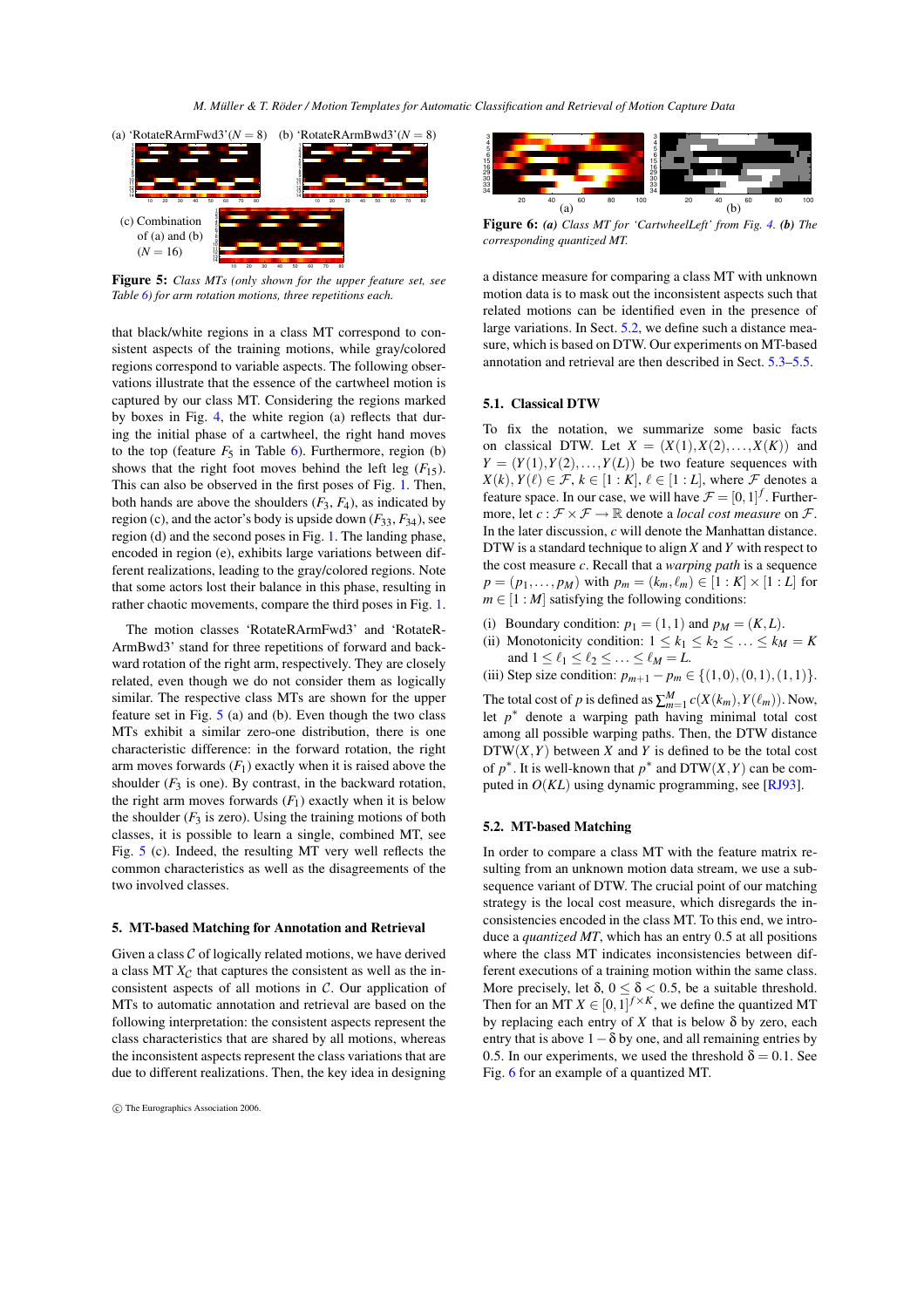

<span id="page-4-1"></span>**Figure 5:** *Class MTs (only shown for the upper feature set, see Table [6\)](#page-9-16) for arm rotation motions, three repetitions each.*

that black/white regions in a class MT correspond to consistent aspects of the training motions, while gray/colored regions correspond to variable aspects. The following observations illustrate that the essence of the cartwheel motion is captured by our class MT. Considering the regions marked by boxes in Fig. [4,](#page-3-1) the white region (a) reflects that during the initial phase of a cartwheel, the right hand moves to the top (feature  $F_5$  in Table [6\)](#page-9-16). Furthermore, region (b) shows that the right foot moves behind the left leg  $(F_{15})$ . This can also be observed in the first poses of Fig. [1.](#page-2-3) Then, both hands are above the shoulders  $(F_3, F_4)$ , as indicated by region (c), and the actor's body is upside down  $(F_{33}, F_{34})$ , see region (d) and the second poses in Fig. [1.](#page-2-3) The landing phase, encoded in region (e), exhibits large variations between different realizations, leading to the gray/colored regions. Note that some actors lost their balance in this phase, resulting in rather chaotic movements, compare the third poses in Fig. [1.](#page-2-3)

The motion classes 'RotateRArmFwd3' and 'RotateR-ArmBwd3' stand for three repetitions of forward and backward rotation of the right arm, respectively. They are closely related, even though we do not consider them as logically similar. The respective class MTs are shown for the upper feature set in Fig. [5](#page-4-1) (a) and (b). Even though the two class MTs exhibit a similar zero-one distribution, there is one characteristic difference: in the forward rotation, the right arm moves forwards  $(F_1)$  exactly when it is raised above the shoulder  $(F_3$  is one). By contrast, in the backward rotation, the right arm moves forwards  $(F_1)$  exactly when it is below the shoulder  $(F_3$  is zero). Using the training motions of both classes, it is possible to learn a single, combined MT, see Fig. [5](#page-4-1) (c). Indeed, the resulting MT very well reflects the common characteristics as well as the disagreements of the two involved classes.

#### <span id="page-4-0"></span>**5. MT-based Matching for Annotation and Retrieval**

Given a class  $C$  of logically related motions, we have derived a class MT  $X_C$  that captures the consistent as well as the inconsistent aspects of all motions in  $C$ . Our application of MTs to automatic annotation and retrieval are based on the following interpretation: the consistent aspects represent the class characteristics that are shared by all motions, whereas the inconsistent aspects represent the class variations that are due to different realizations. Then, the key idea in designing



<span id="page-4-3"></span>**Figure 6:** *(a) Class MT for 'CartwheelLeft' from Fig. [4.](#page-3-1) (b) The corresponding quantized MT.*

a distance measure for comparing a class MT with unknown motion data is to mask out the inconsistent aspects such that related motions can be identified even in the presence of large variations. In Sect. [5.2,](#page-4-2) we define such a distance measure, which is based on DTW. Our experiments on MT-based annotation and retrieval are then described in Sect. [5.3](#page-5-0)[–5.5.](#page-7-0)

# <span id="page-4-4"></span>**5.1. Classical DTW**

To fix the notation, we summarize some basic facts on classical DTW. Let  $X = (X(1), X(2), \ldots, X(K))$  and  $Y = (Y(1), Y(2), \ldots, Y(L))$  be two feature sequences with  $X(k), Y(\ell) \in \mathcal{F}, k \in [1:K], \ell \in [1:L],$  where  $\mathcal F$  denotes a feature space. In our case, we will have  $\mathcal{F} = [0, 1]^f$ . Furthermore, let  $c : \mathcal{F} \times \mathcal{F} \to \mathbb{R}$  denote a *local cost measure* on  $\mathcal{F}$ . In the later discussion, *c* will denote the Manhattan distance. DTW is a standard technique to align *X* and *Y* with respect to the cost measure *c*. Recall that a *warping path* is a sequence  $p = (p_1, ..., p_M)$  with  $p_m = (k_m, \ell_m) \in [1 : K] \times [1 : L]$  for  $m \in [1 : M]$  satisfying the following conditions:

- (i) Boundary condition:  $p_1 = (1,1)$  and  $p_M = (K,L)$ .
- (ii) Monotonicity condition:  $1 \le k_1 \le k_2 \le \ldots \le k_M = K$ and  $1 \leq \ell_1 \leq \ell_2 \leq \ldots \leq \ell_M = L$ .

(iii) Step size condition:  $p_{m+1} - p_m \in \{(1,0), (0,1), (1,1)\}.$ 

The total cost of *p* is defined as  $\sum_{m=1}^{M} c(X(k_m), Y(\ell_m))$ . Now, let  $p^*$  denote a warping path having minimal total cost among all possible warping paths. Then, the DTW distance  $DTW(X, Y)$  between *X* and *Y* is defined to be the total cost of  $p^*$ . It is well-known that  $p^*$  and  $DTW(X, Y)$  can be computed in  $O(KL)$  using dynamic programming, see [\[RJ93\]](#page-9-11).

#### <span id="page-4-2"></span>**5.2. MT-based Matching**

In order to compare a class MT with the feature matrix resulting from an unknown motion data stream, we use a subsequence variant of DTW. The crucial point of our matching strategy is the local cost measure, which disregards the inconsistencies encoded in the class MT. To this end, we introduce a *quantized MT*, which has an entry 0.5 at all positions where the class MT indicates inconsistencies between different executions of a training motion within the same class. More precisely, let  $\delta$ ,  $0 \le \delta < 0.5$ , be a suitable threshold. Then for an MT  $X \in [0,1]^{f \times K}$ , we define the quantized MT by replacing each entry of  $X$  that is below  $\delta$  by zero, each entry that is above  $1-\delta$  by one, and all remaining entries by 0.5. In our experiments, we used the threshold  $\delta = 0.1$ . See Fig. [6](#page-4-3) for an example of a quantized MT.

c The Eurographics Association 2006.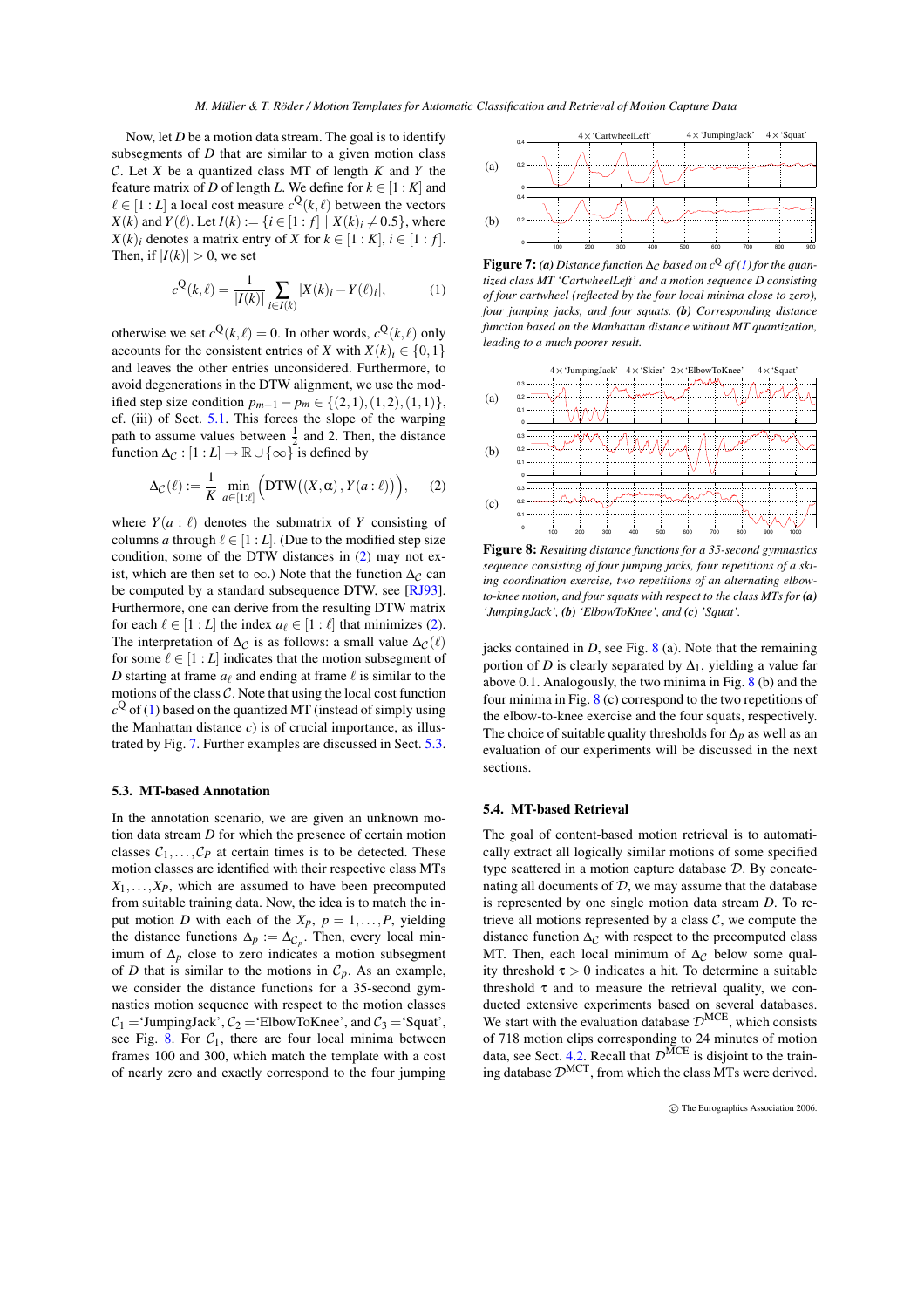Now, let *D* be a motion data stream. The goal is to identify subsegments of *D* that are similar to a given motion class C. Let *X* be a quantized class MT of length *K* and *Y* the feature matrix of *D* of length *L*. We define for  $k \in [1:K]$  and  $\ell \in [1:L]$  a local cost measure  $c^{\mathbf{Q}}(k,\ell)$  between the vectors *X*(*k*) and *Y*( $\ell$ ). Let *I*( $k$ ) := {*i* ∈ [1 : *f*] | *X*( $k$ )*<sub>i</sub>* ≠ 0.5}, where  $X(k)$  denotes a matrix entry of *X* for  $k \in [1:K]$ ,  $i \in [1: f]$ . Then, if  $|I(k)| > 0$ , we set

<span id="page-5-2"></span>
$$
c^{Q}(k,\ell) = \frac{1}{|I(k)|} \sum_{i \in I(k)} |X(k)_{i} - Y(\ell)_{i}|,
$$
 (1)

otherwise we set  $c^{\mathbf{Q}}(k,\ell) = 0$ . In other words,  $c^{\mathbf{Q}}(k,\ell)$  only accounts for the consistent entries of *X* with  $X(k)$ <sup>*i*</sup> ∈ {0,1} and leaves the other entries unconsidered. Furthermore, to avoid degenerations in the DTW alignment, we use the modified step size condition  $p_{m+1} - p_m \in \{(2,1), (1,2), (1,1)\},$ cf. (iii) of Sect. [5.1.](#page-4-4) This forces the slope of the warping path to assume values between  $\frac{1}{2}$  and 2. Then, the distance function  $\Delta_{\mathcal{C}} : [1 : L] \to \mathbb{R} \cup \{\infty\}$  is defined by

<span id="page-5-1"></span>
$$
\Delta_{\mathcal{C}}(\ell) := \frac{1}{K} \min_{a \in [1:\ell]} \Big( \text{DTW}\big((X,\alpha), Y(a:\ell)\big) \Big), \qquad (2)
$$

where  $Y(a : \ell)$  denotes the submatrix of *Y* consisting of columns *a* through  $\ell \in [1:L]$ . (Due to the modified step size condition, some of the DTW distances in [\(2\)](#page-5-1) may not exist, which are then set to  $\infty$ .) Note that the function  $\Delta_{\mathcal{C}}$  can be computed by a standard subsequence DTW, see [\[RJ93\]](#page-9-11). Furthermore, one can derive from the resulting DTW matrix for each  $\ell \in [1:L]$  the index  $a_{\ell} \in [1:\ell]$  that minimizes [\(2\)](#page-5-1). The interpretation of  $\Delta_{\mathcal{C}}$  is as follows: a small value  $\Delta_{\mathcal{C}}(\ell)$ for some  $\ell \in [1:L]$  indicates that the motion subsegment of *D* starting at frame  $a_\ell$  and ending at frame  $\ell$  is similar to the motions of the class  $C$ . Note that using the local cost function  $c^{\mathbf{Q}}$  of [\(1\)](#page-5-2) based on the quantized MT (instead of simply using the Manhattan distance  $c$ ) is of crucial importance, as illustrated by Fig. [7.](#page-5-3) Further examples are discussed in Sect. [5.3.](#page-5-0)

#### <span id="page-5-0"></span>**5.3. MT-based Annotation**

In the annotation scenario, we are given an unknown motion data stream *D* for which the presence of certain motion classes  $C_1, \ldots, C_P$  at certain times is to be detected. These motion classes are identified with their respective class MTs  $X_1, \ldots, X_P$ , which are assumed to have been precomputed from suitable training data. Now, the idea is to match the input motion *D* with each of the  $X_p$ ,  $p = 1, \ldots, P$ , yielding the distance functions  $\Delta p := \Delta c_p$ . Then, every local minimum of  $\Delta_p$  close to zero indicates a motion subsegment of *D* that is similar to the motions in  $C_p$ . As an example, we consider the distance functions for a 35-second gymnastics motion sequence with respect to the motion classes  $C_1$  = 'JumpingJack',  $C_2$  = 'ElbowToKnee', and  $C_3$  = 'Squat', see Fig. [8.](#page-5-4) For  $C_1$ , there are four local minima between frames 100 and 300, which match the template with a cost of nearly zero and exactly correspond to the four jumping



<span id="page-5-3"></span>**Figure 7:** (a) Distance function  $\Delta_C$  based on  $c^Q$  of [\(1\)](#page-5-2) for the quan*tized class MT 'CartwheelLeft' and a motion sequence D consisting of four cartwheel (reflected by the four local minima close to zero), four jumping jacks, and four squats. (b) Corresponding distance function based on the Manhattan distance without MT quantization, leading to a much poorer result.*



<span id="page-5-4"></span>**Figure 8:** *Resulting distance functions for a 35-second gymnastics sequence consisting of four jumping jacks, four repetitions of a skiing coordination exercise, two repetitions of an alternating elbowto-knee motion, and four squats with respect to the class MTs for (a) 'JumpingJack', (b) 'ElbowToKnee', and (c) 'Squat'.*

jacks contained in  $D$ , see Fig.  $8$  (a). Note that the remaining portion of *D* is clearly separated by  $\Delta_1$ , yielding a value far above 0.1. Analogously, the two minima in Fig. [8](#page-5-4) (b) and the four minima in Fig. [8](#page-5-4) (c) correspond to the two repetitions of the elbow-to-knee exercise and the four squats, respectively. The choice of suitable quality thresholds for ∆*<sup>p</sup>* as well as an evaluation of our experiments will be discussed in the next sections.

#### **5.4. MT-based Retrieval**

The goal of content-based motion retrieval is to automatically extract all logically similar motions of some specified type scattered in a motion capture database  $D$ . By concatenating all documents of  $D$ , we may assume that the database is represented by one single motion data stream *D*. To retrieve all motions represented by a class  $C$ , we compute the distance function  $\Delta_{\mathcal{C}}$  with respect to the precomputed class MT. Then, each local minimum of  $\Delta_{\mathcal{C}}$  below some quality threshold  $\tau > 0$  indicates a hit. To determine a suitable threshold  $\tau$  and to measure the retrieval quality, we conducted extensive experiments based on several databases. We start with the evaluation database  $\mathcal{D}^{MCE}$ , which consists of 718 motion clips corresponding to 24 minutes of motion data, see Sect. [4.2.](#page-3-4) Recall that  $\mathcal{D}^{\text{MCE}}$  is disjoint to the training database  $\mathcal{D}^{\text{MCT}}$ , from which the class MTs were derived.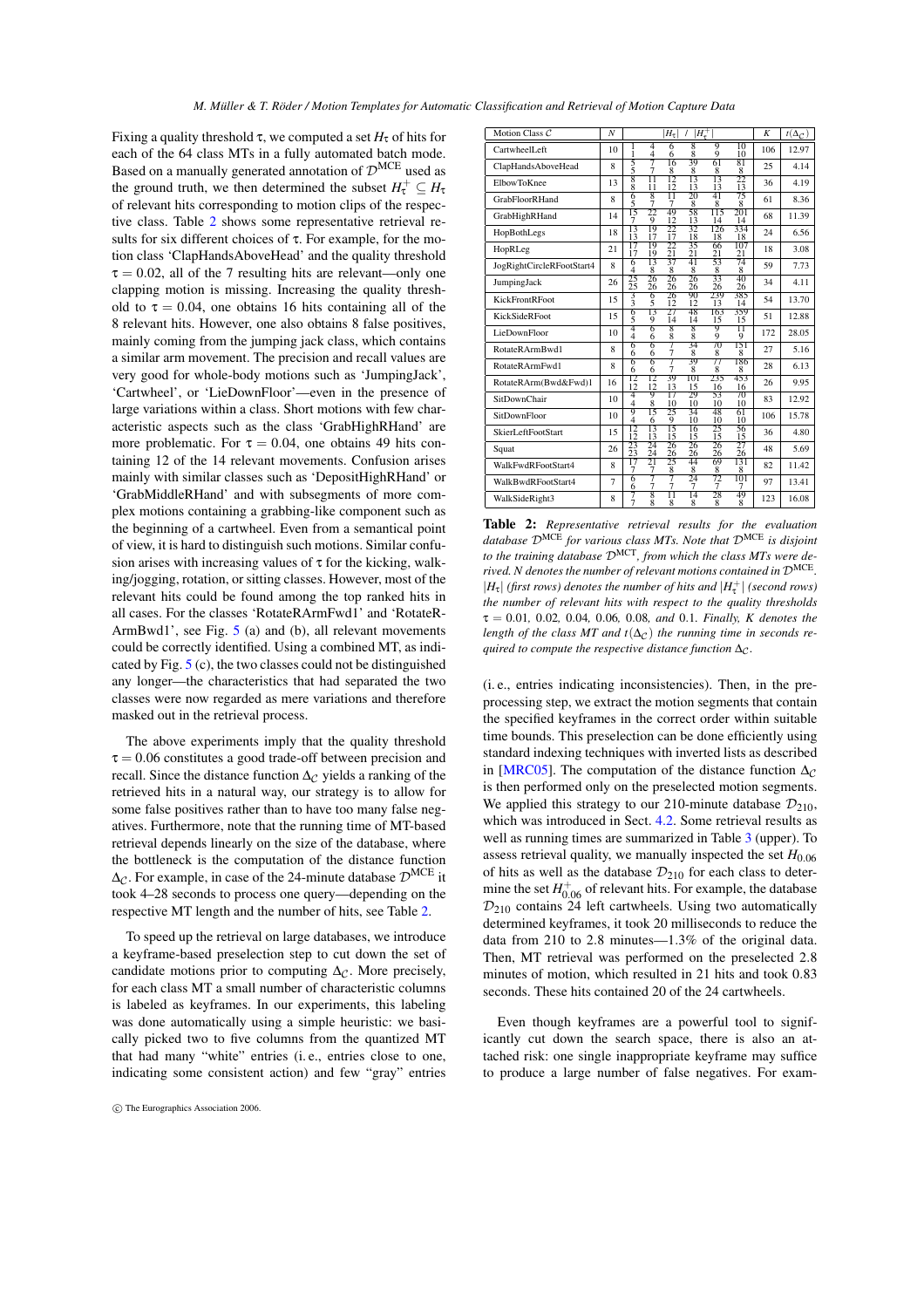Fixing a quality threshold τ, we computed a set  $H<sub>τ</sub>$  of hits for each of the 64 class MTs in a fully automated batch mode. Based on a manually generated annotation of  $\mathcal{D}^{\text{MCE}}$  used as the ground truth, we then determined the subset  $H_{\tau}^{+} \subseteq H_{\tau}$ of relevant hits corresponding to motion clips of the respective class. Table [2](#page-6-0) shows some representative retrieval results for six different choices of τ. For example, for the motion class 'ClapHandsAboveHead' and the quality threshold  $\tau = 0.02$ , all of the 7 resulting hits are relevant—only one clapping motion is missing. Increasing the quality threshold to  $\tau = 0.04$ , one obtains 16 hits containing all of the 8 relevant hits. However, one also obtains 8 false positives, mainly coming from the jumping jack class, which contains a similar arm movement. The precision and recall values are very good for whole-body motions such as 'JumpingJack', 'Cartwheel', or 'LieDownFloor'—even in the presence of large variations within a class. Short motions with few characteristic aspects such as the class 'GrabHighRHand' are more problematic. For  $\tau = 0.04$ , one obtains 49 hits containing 12 of the 14 relevant movements. Confusion arises mainly with similar classes such as 'DepositHighRHand' or 'GrabMiddleRHand' and with subsegments of more complex motions containing a grabbing-like component such as the beginning of a cartwheel. Even from a semantical point of view, it is hard to distinguish such motions. Similar confusion arises with increasing values of  $\tau$  for the kicking, walking/jogging, rotation, or sitting classes. However, most of the relevant hits could be found among the top ranked hits in all cases. For the classes 'RotateRArmFwd1' and 'RotateR-ArmBwd1', see Fig. [5](#page-4-1) (a) and (b), all relevant movements could be correctly identified. Using a combined MT, as indicated by Fig. [5](#page-4-1) (c), the two classes could not be distinguished any longer—the characteristics that had separated the two classes were now regarded as mere variations and therefore masked out in the retrieval process.

The above experiments imply that the quality threshold  $\tau = 0.06$  constitutes a good trade-off between precision and recall. Since the distance function  $\Delta_{\mathcal{C}}$  yields a ranking of the retrieved hits in a natural way, our strategy is to allow for some false positives rather than to have too many false negatives. Furthermore, note that the running time of MT-based retrieval depends linearly on the size of the database, where the bottleneck is the computation of the distance function  $\Delta_{\mathcal{C}}$ . For example, in case of the 24-minute database  $\mathcal{D}^{\text{MCE}}$  it took 4–28 seconds to process one query—depending on the respective MT length and the number of hits, see Table [2.](#page-6-0)

To speed up the retrieval on large databases, we introduce a keyframe-based preselection step to cut down the set of candidate motions prior to computing  $\Delta_{\mathcal{C}}$ . More precisely, for each class MT a small number of characteristic columns is labeled as keyframes. In our experiments, this labeling was done automatically using a simple heuristic: we basically picked two to five columns from the quantized MT that had many "white" entries (i. e., entries close to one, indicating some consistent action) and few "gray" entries

| Motion Class C            | N              |                       |                                    | $H_{\tau}$           | $H_{\tau}^{+}$      |           |                       | K   | $t(\Delta_{\mathcal{C}})$ |
|---------------------------|----------------|-----------------------|------------------------------------|----------------------|---------------------|-----------|-----------------------|-----|---------------------------|
| CartwheelLeft             | 10             | 1                     | 4<br>4                             | 6<br>6               | 8<br>$\frac{8}{39}$ | g<br>9    | 10<br>10              | 106 | 12.97                     |
| ClapHandsAboveHead        | 8              | $\frac{5}{5}$         | 7<br>7                             | 16<br>8              | 8                   | 61<br>8   | 81<br>8               | 25  | 4.14                      |
| <b>ElbowToKnee</b>        | 13             | 8<br>ġ                | Π<br>11                            | 12<br>12             | 13<br>13            | 13<br>13  | 22<br>13              | 36  | 4.19                      |
| <b>GrabFloorRHand</b>     | 8              | 6<br>5                | 8<br>7                             | $\overline{11}$<br>7 | 20<br>8             | 41<br>8   | 75<br>8               | 61  | 8.36                      |
| GrabHighRHand             | 14             | 15<br>7               | 22<br>9                            | 49<br>12             | 58<br>13            | 115<br>14 | 201<br>14             | 68  | 11.39                     |
| HopBothLegs               | 18             | 13<br>13              | 19<br>17                           | 22<br>17             | 32<br>18            | 126<br>18 | 334<br>18             | 24  | 6.56                      |
| HopRLeg                   | 21             | 17<br>17              | 19<br>19                           | 22<br>21             | 35<br>21            | 66<br>21  | 107<br>21             | 18  | 3.08                      |
| JogRightCircleRFootStart4 | 8              | 6<br>4                | 13<br>8                            | 37<br>8              | 41<br>8             | 53<br>8   | 74<br>8               | 59  | 7.73                      |
| JumpingJack               | 26             | $^{25}_{25}$          | 26<br>26                           | 26<br>26             | 26<br>26            | 33<br>26  | 40<br>26              | 34  | 4.11                      |
| <b>KickFrontRFoot</b>     | 15             | 3<br>3                | 6<br>5                             | 26<br>12             | 90<br>12            | 239<br>13 | 385<br>14             | 54  | 13.70                     |
| <b>KickSideRFoot</b>      | 15             | $\frac{6}{5}$         | 13<br>9                            | 27<br>14             | 48<br>14            | 163<br>15 | 359<br>15             | 51  | 12.88                     |
| LieDownFloor              | 10             | 4<br>4                | 6<br>6                             | 8<br>$\frac{8}{7}$   | 8<br>8              | 9<br>9    | π<br>9                | 172 | 28.05                     |
| RotateRArmBwd1            | 8              | 6<br>6                | 6<br>6                             | 7                    | 34<br>8             | 70<br>8   | 151<br>8              | 27  | 5.16                      |
| RotateRArmFwd1            | 8              | 6<br>6                | 6<br>6                             | 7<br>7               | 39<br>8             | 77<br>8   | 186<br>8              | 28  | 6.13                      |
| RotateRArm(Bwd&Fwd)1      | 16             | 12<br>$\overline{12}$ | $\overline{12}$<br>$1\overline{2}$ | 39<br>13             | 101<br>15           | 235<br>16 | 453<br>16             | 26  | 9.95                      |
| SitDownChair              | 10             | 4<br>$\overline{4}$   | 9<br>8                             | 17<br>10             | 29<br>10            | 53<br>10  | 70<br>10              | 83  | 12.92                     |
| SitDownFloor              | 10             | 9<br>4                | 15<br>6                            | 25<br>9              | 34<br>10            | 48<br>10  | 61<br>10              | 106 | 15.78                     |
| SkierLeftFootStart        | 15             | 12<br>12              | 13<br>13                           | 15<br>15             | 16<br>15            | 25<br>15  | 56<br>15              | 36  | 4.80                      |
| Squat                     | 26             | 23<br>23              | 24<br>24                           | 26<br>26             | 26<br>26            | 26<br>26  | 27<br>$\overline{26}$ | 48  | 5.69                      |
| WalkFwdRFootStart4        | 8              | 17<br>7               | 21<br>7                            | 25<br>8              | 44<br>8             | 69<br>8   | 131<br>8              | 82  | 11.42                     |
| WalkBwdRFootStart4        | $\overline{7}$ | 6<br>6                | 7<br>7                             | 7<br>7               | 24<br>7             | 72<br>7   | 101<br>7              | 97  | 13.41                     |
| WalkSideRight3            | 8              | 7<br>ż                | 8<br>8                             | Π<br>8               | 14<br>8             | 28<br>8   | 49<br>8               | 123 | 16.08                     |

<span id="page-6-0"></span>**Table 2:** *Representative retrieval results for the evaluation database* DMCE *for various class MTs. Note that* DMCE *is disjoint to the training database* DMCT*, from which the class MTs were derived. N denotes the number of relevant motions contained in* DMCE *.*  $|H_{\tau}|$  *(first rows) denotes the number of hits and*  $|H_{\tau}^+|$  *(second rows) the number of relevant hits with respect to the quality thresholds* τ = 0.01*,* 0.02*,* 0.04*,* 0.06*,* 0.08*, and* 0.1*. Finally, K denotes the length of the class MT and t*( $\Delta$ *c*) *the running time in seconds required to compute the respective distance function* ∆ $\alpha$ *.* 

(i. e., entries indicating inconsistencies). Then, in the preprocessing step, we extract the motion segments that contain the specified keyframes in the correct order within suitable time bounds. This preselection can be done efficiently using standard indexing techniques with inverted lists as described in [\[MRC05\]](#page-9-1). The computation of the distance function  $\Delta_{\mathcal{C}}$ is then performed only on the preselected motion segments. We applied this strategy to our 210-minute database  $\mathcal{D}_{210}$ , which was introduced in Sect. [4.2.](#page-3-4) Some retrieval results as well as running times are summarized in Table [3](#page-7-1) (upper). To assess retrieval quality, we manually inspected the set  $H_{0.06}$ of hits as well as the database  $\mathcal{D}_{210}$  for each class to determine the set  $H_{0.06}^+$  of relevant hits. For example, the database  $\mathcal{D}_{210}$  contains 24 left cartwheels. Using two automatically determined keyframes, it took 20 milliseconds to reduce the data from 210 to 2.8 minutes—1.3% of the original data. Then, MT retrieval was performed on the preselected 2.8 minutes of motion, which resulted in 21 hits and took 0.83 seconds. These hits contained 20 of the 24 cartwheels.

Even though keyframes are a powerful tool to significantly cut down the search space, there is also an attached risk: one single inappropriate keyframe may suffice to produce a large number of false negatives. For exam-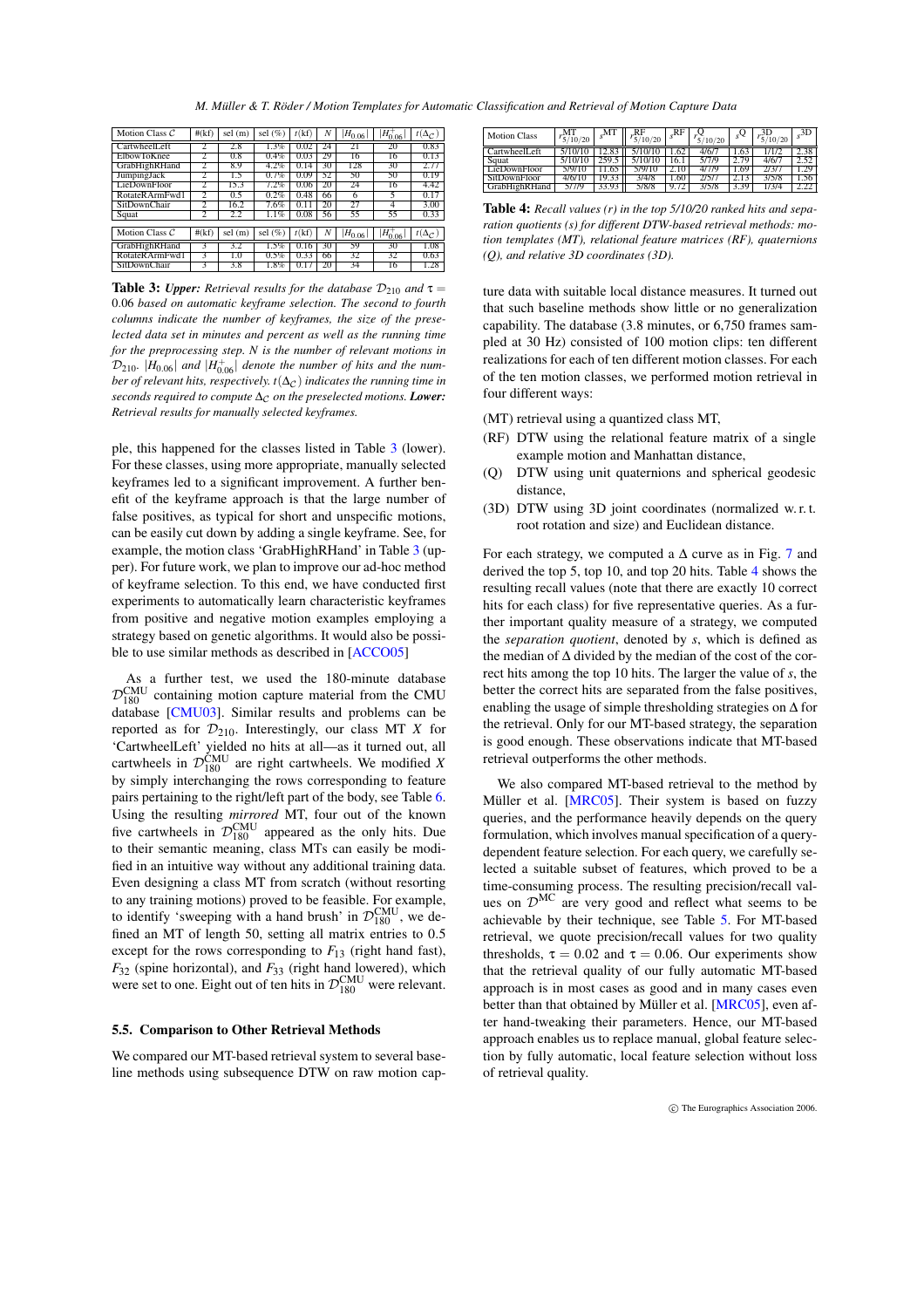*M. Müller & T. Röder / Motion Templates for Automatic Classification and Retrieval of Motion Capture Data*

| Motion Class $C$ | #(kf) | sel (m) | sel $(\%)$ | t(kf)  |    | $(H_{0.06})$ | $H_{0.06}^{+}$ | $t(\Delta_{\mathcal{C}})$ |
|------------------|-------|---------|------------|--------|----|--------------|----------------|---------------------------|
| CartwheelLeft    |       | 2.8     | 1.3%       | 0.02   | 24 | 21           | 20             | 0.83                      |
| ElbowToKnee      | 2     | 0.8     | 0.4%       | 0.03   | 29 | 16           | 16             | 0.13                      |
| GrabHighRHand    |       | 8.9     | $4.2\%$    | 0.14   | 30 | 128          | 30             | 2.77                      |
| JumpingJack      |       | 1.5     | 0.7%       | 0.09   | 52 | 50           | 50             | 0.19                      |
| LieDownFloor     |       | 15.3    | 7.2%       | 0.06   | 20 | 24           | 16             | 4.42                      |
| RotateRArmFwd1   |       | 0.5     | 0.2%       | 0.48   | 66 | 6            | 5              | 0.17                      |
| SitDownChair     | 2     | 16.2    | 7.6%       | 0.11   | 20 | 27           | 4              | 3.00                      |
| Squat            |       | 2.2     | $1.1\%$    | 0.08   | 56 | 55           | 55             | 0.33                      |
|                  |       |         |            |        |    |              |                |                           |
| Motion Class $C$ | #(kf) | sel (m) | sel $(\%)$ | t(kf)  | Ν  | $H_{0.06}$   | $H_{0.06}^{+}$ | $t(\Delta_{\mathcal{C}})$ |
| GrabHighRHand    |       | 3.2     | 1.5%       | 0<br>o | 30 | 59           | 30             | 1.08                      |
| RotateRArmFwd1   |       | 1.0     | 0.5%       | 0.33   | 66 | 32           | 32             | 0.63                      |
| SitDownChair     |       | 3.8     | 1.8%       |        | 20 | 34           | 16             | 1.28                      |

<span id="page-7-1"></span>**Table 3:** *Upper: Retrieval results for the database*  $\mathcal{D}_{210}$  *and*  $\tau =$ 0.06 *based on automatic keyframe selection. The second to fourth columns indicate the number of keyframes, the size of the preselected data set in minutes and percent as well as the running time for the preprocessing step. N is the number of relevant motions in*  $\mathcal{D}_{210}$ .  $|H_{0.06}|$  and  $|H_{0.06}^+|$  denote the number of hits and the num*ber of relevant hits, respectively. t*( $\Delta$ <sub>*C</sub>*) *indicates the running time in*</sub> *seconds required to compute* ∆<sub>*C*</sub> *on the preselected motions. Lower: Retrieval results for manually selected keyframes.*

ple, this happened for the classes listed in Table [3](#page-7-1) (lower). For these classes, using more appropriate, manually selected keyframes led to a significant improvement. A further benefit of the keyframe approach is that the large number of false positives, as typical for short and unspecific motions, can be easily cut down by adding a single keyframe. See, for example, the motion class 'GrabHighRHand' in Table [3](#page-7-1) (upper). For future work, we plan to improve our ad-hoc method of keyframe selection. To this end, we have conducted first experiments to automatically learn characteristic keyframes from positive and negative motion examples employing a strategy based on genetic algorithms. It would also be possible to use similar methods as described in [\[ACCO05\]](#page-8-8)

As a further test, we used the 180-minute database  $\mathcal{D}_{180}^{\text{CMU}}$  containing motion capture material from the CMU database [\[CMU03\]](#page-8-9). Similar results and problems can be reported as for  $\mathcal{D}_{210}$ . Interestingly, our class MT *X* for 'CartwheelLeft' yielded no hits at all—as it turned out, all cartwheels in  $\mathcal{D}_{180}^{\text{CMU}}$  are right cartwheels. We modified *X* by simply interchanging the rows corresponding to feature pairs pertaining to the right/left part of the body, see Table [6.](#page-9-16) Using the resulting *mirrored* MT, four out of the known five cartwheels in  $\mathcal{D}_{180}^{\text{CMU}}$  appeared as the only hits. Due to their semantic meaning, class MTs can easily be modified in an intuitive way without any additional training data. Even designing a class MT from scratch (without resorting to any training motions) proved to be feasible. For example, to identify 'sweeping with a hand brush' in  $\mathcal{D}_{180}^{\text{CMU}}$ , we defined an MT of length 50, setting all matrix entries to 0.5 except for the rows corresponding to  $F_{13}$  (right hand fast), *F*<sup>32</sup> (spine horizontal), and *F*<sup>33</sup> (right hand lowered), which were set to one. Eight out of ten hits in  $\mathcal{D}_{180}^{\text{CMU}}$  were relevant.

#### <span id="page-7-0"></span>**5.5. Comparison to Other Retrieval Methods**

We compared our MT-based retrieval system to several baseline methods using subsequence DTW on raw motion cap-

| <b>Motion Class</b> | 10/20  | .M 1  | 10/20 | "RF   | 10/20 | $\mathcal{L}_2$ | 10/20 | ىڭ   |
|---------------------|--------|-------|-------|-------|-------|-----------------|-------|------|
| .et                 |        |       |       | .62   |       |                 |       |      |
| Squat               |        |       |       | '0. I | 7774  |                 |       |      |
| LieDownFloor        |        |       |       |       |       | .69             |       |      |
| SitDownFloor        | 1/6/10 | 9.33  | 3/478 | .60   |       |                 | 3/5/8 | 1.56 |
| ıRHand              |        | 33.93 | 5/8/8 |       |       |                 |       |      |

<span id="page-7-2"></span>**Table 4:** *Recall values (r) in the top 5/10/20 ranked hits and separation quotients (s) for different DTW-based retrieval methods: motion templates (MT), relational feature matrices (RF), quaternions (Q), and relative 3D coordinates (3D).*

ture data with suitable local distance measures. It turned out that such baseline methods show little or no generalization capability. The database (3.8 minutes, or 6,750 frames sampled at 30 Hz) consisted of 100 motion clips: ten different realizations for each of ten different motion classes. For each of the ten motion classes, we performed motion retrieval in four different ways:

- (MT) retrieval using a quantized class MT,
- (RF) DTW using the relational feature matrix of a single example motion and Manhattan distance,
- (Q) DTW using unit quaternions and spherical geodesic distance,
- (3D) DTW using 3D joint coordinates (normalized w. r. t. root rotation and size) and Euclidean distance.

For each strategy, we computed a  $\Delta$  curve as in Fig. [7](#page-5-3) and derived the top 5, top 10, and top 20 hits. Table [4](#page-7-2) shows the resulting recall values (note that there are exactly 10 correct hits for each class) for five representative queries. As a further important quality measure of a strategy, we computed the *separation quotient*, denoted by *s*, which is defined as the median of ∆ divided by the median of the cost of the correct hits among the top 10 hits. The larger the value of *s*, the better the correct hits are separated from the false positives, enabling the usage of simple thresholding strategies on  $\Delta$  for the retrieval. Only for our MT-based strategy, the separation is good enough. These observations indicate that MT-based retrieval outperforms the other methods.

We also compared MT-based retrieval to the method by Müller et al. [\[MRC05\]](#page-9-1). Their system is based on fuzzy queries, and the performance heavily depends on the query formulation, which involves manual specification of a querydependent feature selection. For each query, we carefully selected a suitable subset of features, which proved to be a time-consuming process. The resulting precision/recall values on  $\mathcal{D}^{\text{MC}}$  are very good and reflect what seems to be achievable by their technique, see Table [5.](#page-8-10) For MT-based retrieval, we quote precision/recall values for two quality thresholds,  $\tau = 0.02$  and  $\tau = 0.06$ . Our experiments show that the retrieval quality of our fully automatic MT-based approach is in most cases as good and in many cases even better than that obtained by Müller et al. [\[MRC05\]](#page-9-1), even after hand-tweaking their parameters. Hence, our MT-based approach enables us to replace manual, global feature selection by fully automatic, local feature selection without loss of retrieval quality.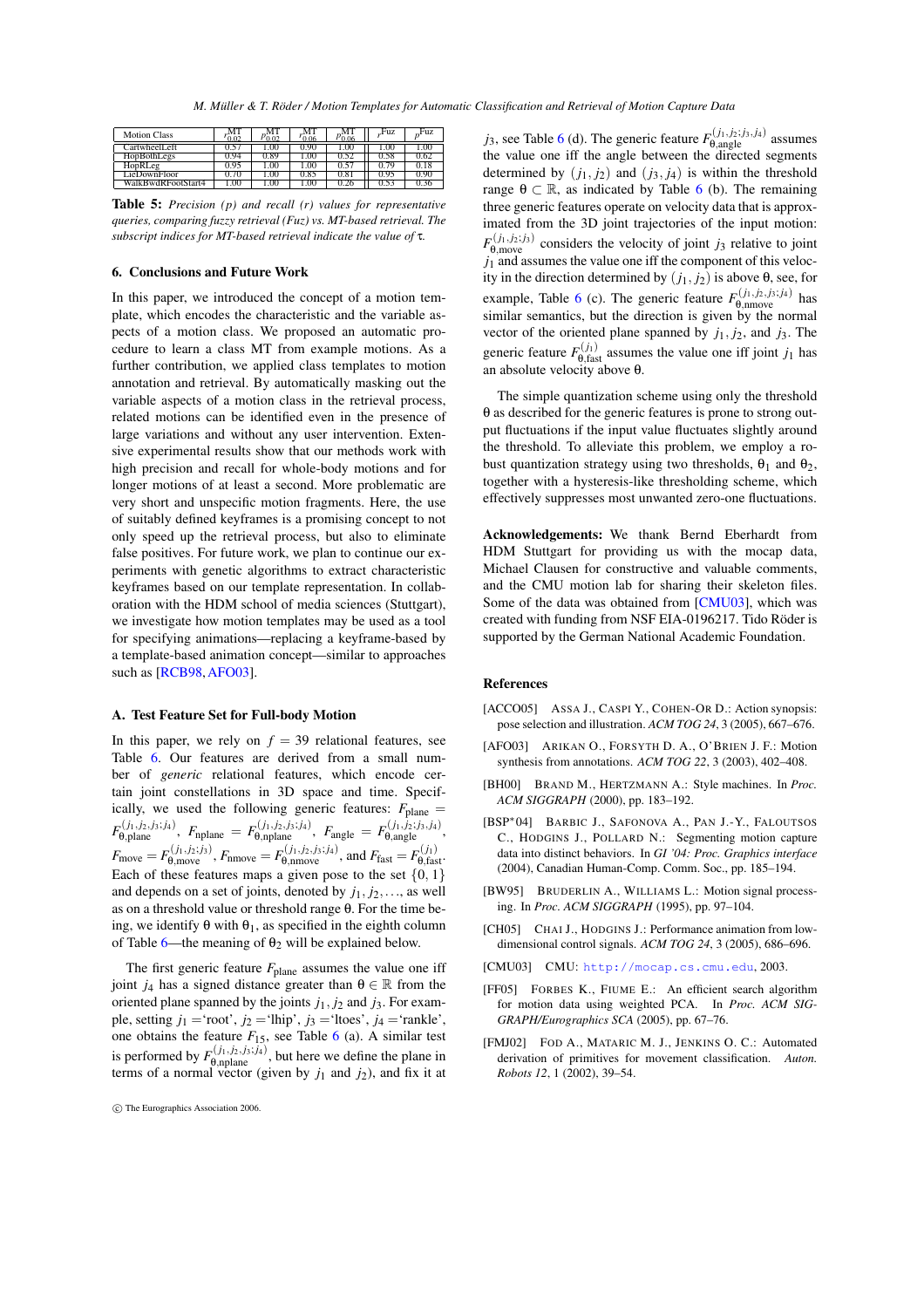*M. Müller & T. Röder / Motion Templates for Automatic Classification and Retrieval of Motion Capture Data*

| <b>Motion Class</b>    | ነ በን  | വ ധ  | ገ በ6 | 'በ በ6 | Fuz   | Fuz  |
|------------------------|-------|------|------|-------|-------|------|
| CartwheelLeft          |       | 00.1 | D.90 | .00   | .UU   | .00  |
| HopBothLegs            | -94   | J.89 | .00  | 0.52  | 0.58  | 1.62 |
| HopRLeg                | 0.95  | 00.1 | 1.00 | U.D   | V. 79 | 0.18 |
| LieDownFloor           | V. 70 | 00.1 | 0.82 | 0.81  | 0.95  | 0.90 |
| wdRFootStart4<br>WalkR | 00.   | .00  | .00  | .zo   |       |      |

<span id="page-8-10"></span>**Table 5:** *Precision (p) and recall (r) values for representative queries, comparing fuzzy retrieval (Fuz) vs. MT-based retrieval. The subscript indices for MT-based retrieval indicate the value of* τ*.*

#### **6. Conclusions and Future Work**

In this paper, we introduced the concept of a motion template, which encodes the characteristic and the variable aspects of a motion class. We proposed an automatic procedure to learn a class MT from example motions. As a further contribution, we applied class templates to motion annotation and retrieval. By automatically masking out the variable aspects of a motion class in the retrieval process, related motions can be identified even in the presence of large variations and without any user intervention. Extensive experimental results show that our methods work with high precision and recall for whole-body motions and for longer motions of at least a second. More problematic are very short and unspecific motion fragments. Here, the use of suitably defined keyframes is a promising concept to not only speed up the retrieval process, but also to eliminate false positives. For future work, we plan to continue our experiments with genetic algorithms to extract characteristic keyframes based on our template representation. In collaboration with the HDM school of media sciences (Stuttgart), we investigate how motion templates may be used as a tool for specifying animations—replacing a keyframe-based by a template-based animation concept—similar to approaches such as [\[RCB98,](#page-9-14) [AFO03\]](#page-8-2).

#### **A. Test Feature Set for Full-body Motion**

<span id="page-8-0"></span>In this paper, we rely on  $f = 39$  relational features, see Table [6.](#page-9-16) Our features are derived from a small number of *generic* relational features, which encode certain joint constellations in 3D space and time. Specifically, we used the following generic features:  $F_{\text{plane}} =$  $F_{\Theta,\text{plane}}^{(j_1,j_2,j_3;j_4)},\,\, F_{\text{nplane}}\,=\,F_{\Theta,\text{nplane}}^{(j_1,j_2,j_3;j_4)},\,\, F_{\text{angle}}\,=\,F_{\Theta,\text{angle}}^{(j_1,j_2;j_3,j_4)},$  $F_{\text{move}} = F_{\theta, \text{move}}^{(j_1, j_2; j_3)}$ ,  $F_{\text{nmove}} = F_{\theta, \text{mmove}}^{(j_1, j_2, j_3; j_4)}$ , and  $F_{\text{fast}} = F_{\theta, \text{fast}}^{(j_1)}$ . Each of these features maps a given pose to the set  $\{0, 1\}$ and depends on a set of joints, denoted by  $j_1, j_2, \ldots$ , as well as on a threshold value or threshold range θ. For the time being, we identify  $\theta$  with  $\theta_1$ , as specified in the eighth column of Table [6—](#page-9-16)the meaning of  $θ$ <sub>2</sub> will be explained below.

The first generic feature  $F_{\text{plane}}$  assumes the value one iff joint  $j_4$  has a signed distance greater than  $\theta \in \mathbb{R}$  from the oriented plane spanned by the joints  $j_1$ ,  $j_2$  and  $j_3$ . For example, setting  $j_1$  = 'root',  $j_2$  = 'lhip',  $j_3$  = 'ltoes',  $j_4$  = 'rankle', one obtains the feature  $F_{15}$ , see Table [6](#page-9-16) (a). A similar test is performed by  $F_{\theta, \text{nplane}}^{(j_1, j_2, j_3; j_4)}$ , but here we define the plane in terms of a normal vector (given by  $j_1$  and  $j_2$ ), and fix it at

*j*<sub>3</sub>, see Table [6](#page-9-16) (d). The generic feature  $F_{\theta, angle}^{(j_1, j_2; j_3, j_4)}$  assumes the value one iff the angle between the directed segments determined by  $(j_1, j_2)$  and  $(j_3, j_4)$  is within the threshold range  $\theta \subset \mathbb{R}$ , as indicated by Table [6](#page-9-16) (b). The remaining three generic features operate on velocity data that is approximated from the 3D joint trajectories of the input motion:  $F_{\theta, \text{move}}^{(j_1, j_2; j_3)}$  considers the velocity of joint *j*<sub>3</sub> relative to joint  $j_1$  and assumes the value one iff the component of this velocity in the direction determined by  $(j_1, j_2)$  is above  $\theta$ , see, for example, Table [6](#page-9-16) (c). The generic feature  $F_{\theta, \text{mmove}}^{(j_1, j_2, j_3; j_4)}$  has similar semantics, but the direction is given by the normal vector of the oriented plane spanned by  $j_1$ ,  $j_2$ , and  $j_3$ . The generic feature  $F_{\theta, \text{fast}}^{(j_1)}$  assumes the value one iff joint  $j_1$  has an absolute velocity above θ.

The simple quantization scheme using only the threshold θ as described for the generic features is prone to strong output fluctuations if the input value fluctuates slightly around the threshold. To alleviate this problem, we employ a robust quantization strategy using two thresholds,  $\theta_1$  and  $\theta_2$ , together with a hysteresis-like thresholding scheme, which effectively suppresses most unwanted zero-one fluctuations.

**Acknowledgements:** We thank Bernd Eberhardt from HDM Stuttgart for providing us with the mocap data, Michael Clausen for constructive and valuable comments, and the CMU motion lab for sharing their skeleton files. Some of the data was obtained from [\[CMU03\]](#page-8-9), which was created with funding from NSF EIA-0196217. Tido Röder is supported by the German National Academic Foundation.

#### **References**

- <span id="page-8-8"></span>[ACCO05] ASSA J., CASPI Y., COHEN-OR D.: Action synopsis: pose selection and illustration. *ACM TOG 24*, 3 (2005), 667–676.
- <span id="page-8-2"></span>[AFO03] ARIKAN O., FORSYTH D. A., O'BRIEN J. F.: Motion synthesis from annotations. *ACM TOG 22*, 3 (2003), 402–408.
- <span id="page-8-5"></span>[BH00] BRAND M., HERTZMANN A.: Style machines. In *Proc. ACM SIGGRAPH* (2000), pp. 183–192.
- <span id="page-8-7"></span>[BSP∗04] BARBIC J., SAFONOVA A., PAN J.-Y., FALOUTSOS C., HODGINS J., POLLARD N.: Segmenting motion capture data into distinct behaviors. In *GI '04: Proc. Graphics interface* (2004), Canadian Human-Comp. Comm. Soc., pp. 185–194.
- <span id="page-8-1"></span>[BW95] BRUDERLIN A., WILLIAMS L.: Motion signal processing. In *Proc. ACM SIGGRAPH* (1995), pp. 97–104.
- <span id="page-8-3"></span>[CH05] CHAI J., HODGINS J.: Performance animation from lowdimensional control signals. *ACM TOG 24*, 3 (2005), 686–696.
- <span id="page-8-9"></span>[CMU03] CMU: <http://mocap.cs.cmu.edu>, 2003.
- <span id="page-8-4"></span>[FF05] FORBES K., FIUME E.: An efficient search algorithm for motion data using weighted PCA. In *Proc. ACM SIG-GRAPH/Eurographics SCA* (2005), pp. 67–76.
- <span id="page-8-6"></span>[FMJ02] FOD A., MATARIC M. J., JENKINS O. C.: Automated derivation of primitives for movement classification. *Auton. Robots 12*, 1 (2002), 39–54.